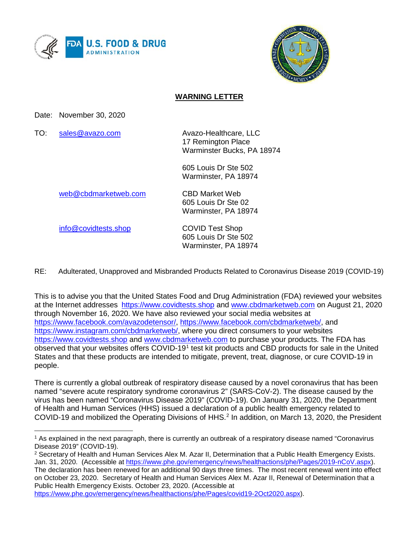



#### **WARNING LETTER**

Date: November 30, 2020

TO: [sales@avazo.com](mailto:sales@avazo.com) Avazo-Healthcare, LLC

17 Remington Place Warminster Bucks, PA 18974

605 Louis Dr Ste 502 Warminster, PA 18974

[web@cbdmarketweb.com](mailto:web@cbdmarketweb.com) CBD Market Web

605 Louis Dr Ste 02 Warminster, PA 18974

[info@covidtests.shop](mailto:info@covidtests.shop) COVID Test Shop

 $\overline{a}$ 

605 Louis Dr Ste 502 Warminster, PA 18974

RE: Adulterated, Unapproved and Misbranded Products Related to Coronavirus Disease 2019 (COVID-19)

This is to advise you that the United States Food and Drug Administration (FDA) reviewed your websites at the Internet addresses [https://www.covidtests.shop](http://www.covidtests.shop/) and [www.cbdmarketweb.com](http://www.cbdmarketweb.com/) on August 21, 2020 through November 16, 2020. We have also reviewed your social media websites at [https://www.facebook.com/avazodetensor/,](https://www.facebook.com/avazodetensor/) [https://www.facebook.com/cbdmarketweb/,](https://www.facebook.com/cbdmarketweb/) a[nd](http://www.covidtests.shop/)  [https://www.instagram.com/cbdmarketweb/,](https://www.instagram.com/cbdmarketweb/) where you direct consumers to your websites [https://www.covidtests.shop](http://www.covidtests.shop/) and [www.cbdmarketweb.com](http://www.cbdmarketweb.com/) to purchase your products. The FDA has observed that your websites offers COVID-19[1](#page-0-0) test kit products and CBD products for sale in the United States and that these products are intended to mitigate, prevent, treat, diagnose, or cure COVID-19 in people.

There is currently a global outbreak of respiratory disease caused by a novel coronavirus that has been named "severe acute respiratory syndrome coronavirus 2" (SARS-CoV-2). The disease caused by the virus has been named "Coronavirus Disease 2019" (COVID-19). On January 31, 2020, the Department of Health and Human Services (HHS) issued a declaration of a public health emergency related to COVID-19 and mobilized the Operating Divisions of HHS.<sup>[2](#page-0-1)</sup> In addition, on March 13, 2020, the President

<span id="page-0-0"></span><sup>1</sup> As explained in the next paragraph, there is currently an outbreak of a respiratory disease named "Coronavirus Disease 2019" (COVID-19).

<span id="page-0-1"></span><sup>2</sup> Secretary of Health and Human Services Alex M. Azar II, Determination that a Public Health Emergency Exists. Jan. 31, 2020. (Accessible at [https://www.phe.gov/emergency/news/healthactions/phe/Pages/2019-nCoV.aspx\)](https://www.phe.gov/emergency/news/healthactions/phe/Pages/2019-nCoV.aspx). The declaration has been renewed for an additional 90 days three times. The most recent renewal went into effect on October 23, 2020. Secretary of Health and Human Services Alex M. Azar II, Renewal of Determination that a Public Health Emergency Exists. October 23, 2020. (Accessible at [https://www.phe.gov/emergency/news/healthactions/phe/Pages/covid19-2Oct2020.aspx\)](https://www.phe.gov/emergency/news/healthactions/phe/Pages/covid19-2Oct2020.aspx).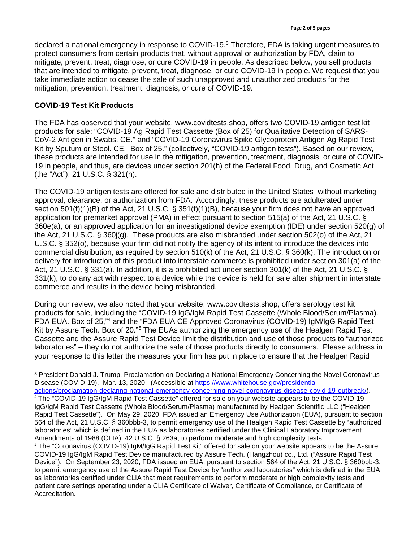declared a national emergency in response to COVID-19.<sup>[3](#page-1-0)</sup> Therefore, FDA is taking urgent measures to protect consumers from certain products that, without approval or authorization by FDA, claim to mitigate, prevent, treat, diagnose, or cure COVID-19 in people. As described below, you sell products that are intended to mitigate, prevent, treat, diagnose, or cure COVID-19 in people. We request that you take immediate action to cease the sale of such unapproved and unauthorized products for the mitigation, prevention, treatment, diagnosis, or cure of COVID-19.

### **COVID-19 Test Kit Products**

 $\overline{a}$ 

The FDA has observed that your website, www.covidtests.shop, offers two COVID-19 antigen test kit products for sale: "COVID-19 Ag Rapid Test Cassette (Box of 25) for Qualitative Detection of SARS-CoV-2 Antigen in Swabs. CE." and "COVID-19 Coronavirus Spike Glycoprotein Antigen Ag Rapid Test Kit by Sputum or Stool. CE. Box of 25." (collectively, "COVID-19 antigen tests"). Based on our review, these products are intended for use in the mitigation, prevention, treatment, diagnosis, or cure of COVID-19 in people, and thus, are devices under section 201(h) of the Federal Food, Drug, and Cosmetic Act (the "Act"), 21 U.S.C. § 321(h).

The COVID-19 antigen tests are offered for sale and distributed in the United States without marketing approval, clearance, or authorization from FDA. Accordingly, these products are adulterated under section 501(f)(1)(B) of the Act, 21 U.S.C. § 351(f)(1)(B), because your firm does not have an approved application for premarket approval (PMA) in effect pursuant to section 515(a) of the Act, 21 U.S.C. § 360e(a), or an approved application for an investigational device exemption (IDE) under section 520(g) of the Act, 21 U.S.C. § 360j(g). These products are also misbranded under section 502(o) of the Act, 21 U.S.C. § 352(o), because your firm did not notify the agency of its intent to introduce the devices into commercial distribution, as required by section 510(k) of the Act, 21 U.S.C. § 360(k). The introduction or delivery for introduction of this product into interstate commerce is prohibited under section 301(a) of the Act, 21 U.S.C. § 331(a). In addition, it is a prohibited act under section 301(k) of the Act, 21 U.S.C. § 331(k), to do any act with respect to a device while the device is held for sale after shipment in interstate commerce and results in the device being misbranded.

During our review, we also noted that your website, www.covidtests.shop, offers serology test kit products for sale, including the "COVID-19 IgG/IgM Rapid Test Cassette (Whole Blood/Serum/Plasma). FDA EUA. Box of 25,"[4](#page-1-1) and the "FDA EUA CE Approved Coronavirus (COVID-19) IgM/IgG Rapid Test Kit by Assure Tech. Box of 20."[5](#page-1-2) The EUAs authorizing the emergency use of the Healgen Rapid Test Cassette and the Assure Rapid Test Device limit the distribution and use of those products to "authorized laboratories" – they do not authorize the sale of those products directly to consumers. Please address in your response to this letter the measures your firm has put in place to ensure that the Healgen Rapid

<span id="page-1-2"></span><span id="page-1-1"></span><span id="page-1-0"></span><sup>3</sup> President Donald J. Trump, Proclamation on Declaring a National Emergency Concerning the Novel Coronavirus Disease (COVID-19). Mar. 13, 2020. (Accessible at [https://www.whitehouse.gov/presidential](https://www.whitehouse.gov/presidential-actions/proclamation-declaring-national-emergency-concerning-novel-coronavirus-disease-covid-19-outbreak/)[actions/proclamation-declaring-national-emergency-concerning-novel-coronavirus-disease-covid-19-outbreak/\)](https://www.whitehouse.gov/presidential-actions/proclamation-declaring-national-emergency-concerning-novel-coronavirus-disease-covid-19-outbreak/). <sup>4</sup> The "COVID-19 IgG/IgM Rapid Test Cassette" offered for sale on your website appears to be the COVID-19 IgG/IgM Rapid Test Cassette (Whole Blood/Serum/Plasma) manufactured by Healgen Scientific LLC ("Healgen Rapid Test Cassette"). On May 29, 2020, FDA issued an Emergency Use Authorization (EUA), pursuant to section 564 of the Act, 21 U.S.C. § 360bbb-3, to permit emergency use of the Healgen Rapid Test Cassette by "authorized laboratories" which is defined in the EUA as laboratories certified under the Clinical Laboratory Improvement Amendments of 1988 (CLIA), 42 U.S.C. § 263a, to perform moderate and high complexity tests. <sup>5</sup> The "Coronavirus (COVID-19) IgM/IgG Rapid Test Kit" offered for sale on your website appears to be the Assure COVID-19 IgG/IgM Rapid Test Device manufactured by Assure Tech. (Hangzhou) co., Ltd. ("Assure Rapid Test Device"). On September 23, 2020, FDA issued an EUA, pursuant to section 564 of the Act, 21 U.S.C. § 360bbb-3, to permit emergency use of the Assure Rapid Test Device by "authorized laboratories" which is defined in the EUA as laboratories certified under CLIA that meet requirements to perform moderate or high complexity tests and patient care settings operating under a CLIA Certificate of Waiver, Certificate of Compliance, or Certificate of Accreditation.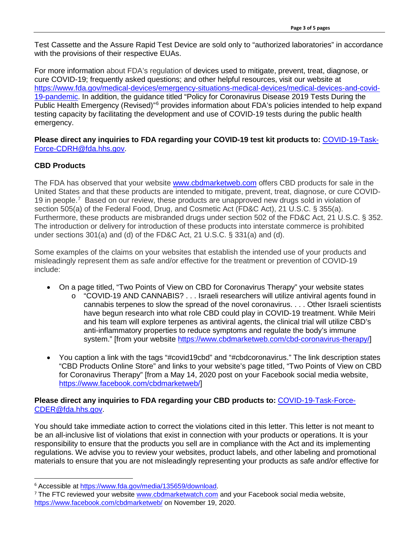Test Cassette and the Assure Rapid Test Device are sold only to "authorized laboratories" in accordance with the provisions of their respective EUAs.

For more information about FDA's regulation of devices used to mitigate, prevent, treat, diagnose, or cure COVID-19; frequently asked questions; and other helpful resources, visit our website at [https://www.fda.gov/medical-devices/emergency-situations-medical-devices/medical-devices-and-covid-](https://www.fda.gov/medical-devices/emergency-situations-medical-devices/medical-devices-and-covid-19-pandemic)[19-pandemic.](https://www.fda.gov/medical-devices/emergency-situations-medical-devices/medical-devices-and-covid-19-pandemic) In addition, the guidance titled "Policy for Coronavirus Disease 2019 Tests During the Public Health Emergency (Revised)<sup>"[6](#page-2-0)</sup> provides information about FDA's policies intended to help expand testing capacity by facilitating the development and use of COVID-19 tests during the public health emergency.

**Please direct any inquiries to FDA regarding your COVID-19 test kit products to:** [COVID-19-Task-](https://www.fda.gov/inspections-compliance-enforcement-and-criminal-investigations/warning-letters/COVID-19-Task-Force-CDRH@fda.hhs.gov)[Force-CDRH@fda.hhs.gov.](https://www.fda.gov/inspections-compliance-enforcement-and-criminal-investigations/warning-letters/COVID-19-Task-Force-CDRH@fda.hhs.gov)

## **CBD Products**

The FDA has observed that your website [www.cbdmarketweb.com](http://www.cbdmarketweb.com/) offers CBD products for sale in the United States and that these products are intended to mitigate, prevent, treat, diagnose, or cure COVID-19 in people.<sup>[7](#page-2-1)</sup> Based on our review, these products are unapproved new drugs sold in violation of section 505(a) of the Federal Food, Drug, and Cosmetic Act (FD&C Act), 21 U.S.C. § 355(a). Furthermore, these products are misbranded drugs under section 502 of the FD&C Act, 21 U.S.C. § 352. The introduction or delivery for introduction of these products into interstate commerce is prohibited under sections 301(a) and (d) of the FD&C Act, 21 U.S.C. § 331(a) and (d).

Some examples of the claims on your websites that establish the intended use of your products and misleadingly represent them as safe and/or effective for the treatment or prevention of COVID-19 include:

- On a page titled, "Two Points of View on CBD for Coronavirus Therapy" your website states
	- o "COVID-19 AND CANNABIS? . . . Israeli researchers will utilize antiviral agents found in cannabis terpenes to slow the spread of the novel coronavirus. . . . Other Israeli scientists have begun research into what role CBD could play in COVID-19 treatment. While Meiri and his team will explore terpenes as antiviral agents, the clinical trial will utilize CBD's anti-inflammatory properties to reduce symptoms and regulate the body's immune system." [from your website [https://www.cbdmarketweb.com/cbd-coronavirus-therapy/\]](https://www.cbdmarketweb.com/cbd-coronavirus-therapy/)
- You caption a link with the tags "#covid19cbd" and "#cbdcoronavirus." The link description states "CBD Products Online Store" and links to your website's page titled, "Two Points of View on CBD for Coronavirus Therapy" [from a May 14, 2020 post on your Facebook social media website, [https://www.facebook.com/cbdmarketweb/\]](https://www.facebook.com/cbdmarketweb/)

#### **Please direct any inquiries to FDA regarding your CBD products to:** [COVID-19-Task-Force-](mailto:COVID-19-Task-Force-CDER@fda.hhs.gov)[CDER@fda.hhs.gov.](mailto:COVID-19-Task-Force-CDER@fda.hhs.gov)

You should take immediate action to correct the violations cited in this letter. This letter is not meant to be an all-inclusive list of violations that exist in connection with your products or operations. It is your responsibility to ensure that the products you sell are in compliance with the Act and its implementing regulations. We advise you to review your websites, product labels, and other labeling and promotional materials to ensure that you are not misleadingly representing your products as safe and/or effective for

<span id="page-2-0"></span> <sup>6</sup> Accessible at [https://www.fda.gov/media/135659/download.](https://www.fda.gov/media/135659/download)

<span id="page-2-1"></span><sup>&</sup>lt;sup>7</sup> The FTC reviewed your website [www.cbdmarketwatch.com](http://www.cbdmarketwatch.com/) and your Facebook social media website, <https://www.facebook.com/cbdmarketweb/> on November 19, 2020.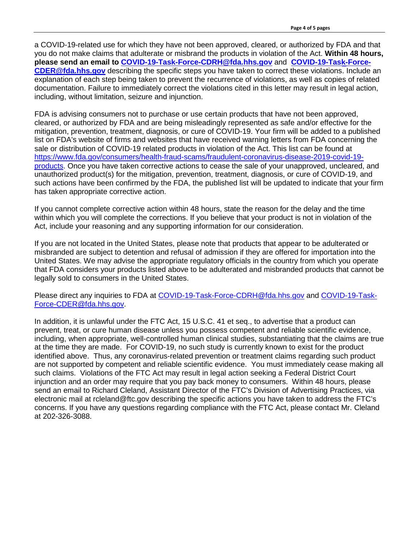a COVID-19-related use for which they have not been approved, cleared, or authorized by FDA and that you do not make claims that adulterate or misbrand the products in violation of the Act. **Within 48 hours, please send an email to [COVID-19-Task-Force-CDRH@fda.hhs.gov](mailto:COVID-19-Task-Force-CDRH@fda.hhs.gov)** and **[COVID-19-Task-Force-](mailto:COVID-19-Task-Force-CDER@fda.hhs.govd)[CDER@fda.hhs.gov](mailto:COVID-19-Task-Force-CDER@fda.hhs.govd)** describing the specific steps you have taken to correct these violations. Include an explanation of each step being taken to prevent the recurrence of violations, as well as copies of related documentation. Failure to immediately correct the violations cited in this letter may result in legal action, including, without limitation, seizure and injunction.

FDA is advising consumers not to purchase or use certain products that have not been approved, cleared, or authorized by FDA and are being misleadingly represented as safe and/or effective for the mitigation, prevention, treatment, diagnosis, or cure of COVID-19. Your firm will be added to a published list on FDA's website of firms and websites that have received warning letters from FDA concerning the sale or distribution of COVID-19 related products in violation of the Act. This list can be found at [https://www.fda.gov/consumers/health-fraud-scams/fraudulent-coronavirus-disease-2019-covid-19](https://www.fda.gov/consumers/health-fraud-scams/fraudulent-coronavirus-disease-2019-covid-19-products) [products.](https://www.fda.gov/consumers/health-fraud-scams/fraudulent-coronavirus-disease-2019-covid-19-products) Once you have taken corrective actions to cease the sale of your unapproved, uncleared, and unauthorized product(s) for the mitigation, prevention, treatment, diagnosis, or cure of COVID-19, and such actions have been confirmed by the FDA, the published list will be updated to indicate that your firm has taken appropriate corrective action.

If you cannot complete corrective action within 48 hours, state the reason for the delay and the time within which you will complete the corrections. If you believe that your product is not in violation of the Act, include your reasoning and any supporting information for our consideration.

If you are not located in the United States, please note that products that appear to be adulterated or misbranded are subject to detention and refusal of admission if they are offered for importation into the United States. We may advise the appropriate regulatory officials in the country from which you operate that FDA considers your products listed above to be adulterated and misbranded products that cannot be legally sold to consumers in the United States.

Please direct any inquiries to FDA at [COVID-19-Task-Force-CDRH@fda.hhs.gov](mailto:COVID-19-Task-Force-CDRH@fda.hhs.gov) and [COVID-19-Task-](mailto:COVID-19-Task-Force-CDER@fda.hhs.gov)[Force-CDER@fda.hhs.gov.](mailto:COVID-19-Task-Force-CDER@fda.hhs.gov)

In addition, it is unlawful under the FTC Act, 15 U.S.C. 41 et seq., to advertise that a product can prevent, treat, or cure human disease unless you possess competent and reliable scientific evidence, including, when appropriate, well-controlled human clinical studies, substantiating that the claims are true at the time they are made. For COVID-19, no such study is currently known to exist for the product identified above. Thus, any coronavirus-related prevention or treatment claims regarding such product are not supported by competent and reliable scientific evidence. You must immediately cease making all such claims. Violations of the FTC Act may result in legal action seeking a Federal District Court injunction and an order may require that you pay back money to consumers. Within 48 hours, please send an email to Richard Cleland, Assistant Director of the FTC's Division of Advertising Practices, via electronic mail at rcleland@ftc.gov describing the specific actions you have taken to address the FTC's concerns. If you have any questions regarding compliance with the FTC Act, please contact Mr. Cleland at 202-326-3088.